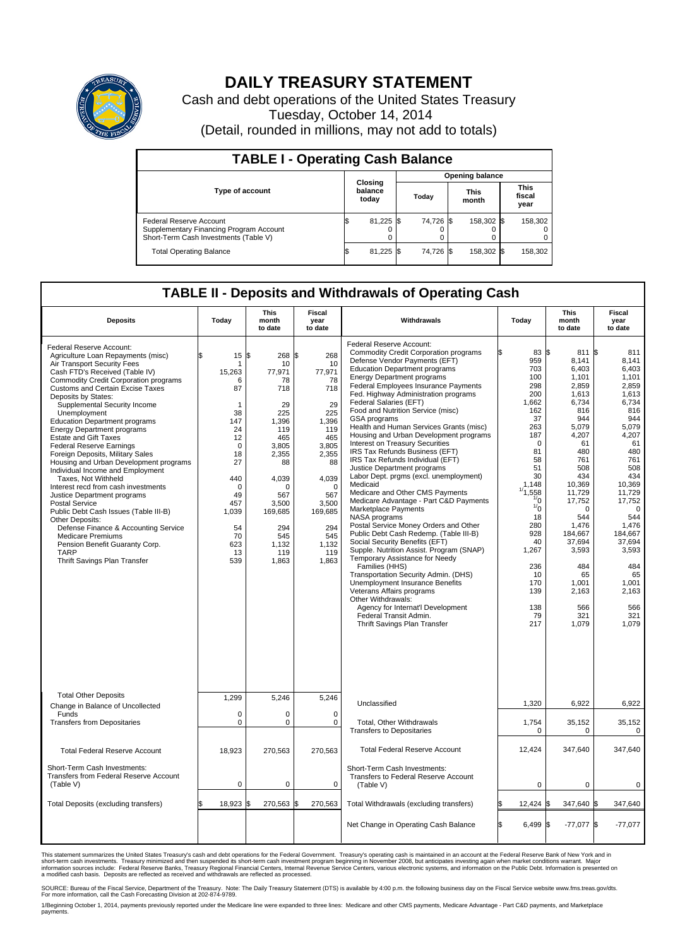

## **DAILY TREASURY STATEMENT**

Cash and debt operations of the United States Treasury Tuesday, October 14, 2014 (Detail, rounded in millions, may not add to totals)

| <b>TABLE I - Operating Cash Balance</b>                                                                     |  |                             |  |           |  |                      |  |                               |  |  |
|-------------------------------------------------------------------------------------------------------------|--|-----------------------------|--|-----------|--|----------------------|--|-------------------------------|--|--|
| <b>Opening balance</b>                                                                                      |  |                             |  |           |  |                      |  |                               |  |  |
| <b>Type of account</b>                                                                                      |  | Closing<br>balance<br>today |  | Today     |  | <b>This</b><br>month |  | <b>This</b><br>fiscal<br>year |  |  |
| Federal Reserve Account<br>Supplementary Financing Program Account<br>Short-Term Cash Investments (Table V) |  | 81,225                      |  | 74,726 \$ |  | 158,302 \$           |  | 158,302                       |  |  |
| <b>Total Operating Balance</b>                                                                              |  | 81,225                      |  | 74.726 \$ |  | 158,302 \$           |  | 158,302                       |  |  |

## **TABLE II - Deposits and Withdrawals of Operating Cash**

| <b>Deposits</b>                                                                                                                                                                                                                                                                                                                                                                                                                                                                                                                                                                                                                                                                                                                                                                                                                                                                                     | Today                                                                                                                                                                    | <b>This</b><br>month<br>to date                                                                                                                                                        | <b>Fiscal</b><br>year<br>to date                                                                                                                                                       | Withdrawals                                                                                                                                                                                                                                                                                                                                                                                                                                                                                                                                                                                                                                                                                                                                                                                                                                                                                                                                                                                                                                                                                                                                                                                                                    | Today                                                                                                                                                                                                                                               | This<br>month<br>to date                                                                                                                                                                                                                                                  | <b>Fiscal</b><br>year<br>to date                                                                                                                                                                                                                                                    |
|-----------------------------------------------------------------------------------------------------------------------------------------------------------------------------------------------------------------------------------------------------------------------------------------------------------------------------------------------------------------------------------------------------------------------------------------------------------------------------------------------------------------------------------------------------------------------------------------------------------------------------------------------------------------------------------------------------------------------------------------------------------------------------------------------------------------------------------------------------------------------------------------------------|--------------------------------------------------------------------------------------------------------------------------------------------------------------------------|----------------------------------------------------------------------------------------------------------------------------------------------------------------------------------------|----------------------------------------------------------------------------------------------------------------------------------------------------------------------------------------|--------------------------------------------------------------------------------------------------------------------------------------------------------------------------------------------------------------------------------------------------------------------------------------------------------------------------------------------------------------------------------------------------------------------------------------------------------------------------------------------------------------------------------------------------------------------------------------------------------------------------------------------------------------------------------------------------------------------------------------------------------------------------------------------------------------------------------------------------------------------------------------------------------------------------------------------------------------------------------------------------------------------------------------------------------------------------------------------------------------------------------------------------------------------------------------------------------------------------------|-----------------------------------------------------------------------------------------------------------------------------------------------------------------------------------------------------------------------------------------------------|---------------------------------------------------------------------------------------------------------------------------------------------------------------------------------------------------------------------------------------------------------------------------|-------------------------------------------------------------------------------------------------------------------------------------------------------------------------------------------------------------------------------------------------------------------------------------|
| Federal Reserve Account:<br>Agriculture Loan Repayments (misc)<br>Air Transport Security Fees<br>Cash FTD's Received (Table IV)<br><b>Commodity Credit Corporation programs</b><br><b>Customs and Certain Excise Taxes</b><br>Deposits by States:<br>Supplemental Security Income<br>Unemployment<br><b>Education Department programs</b><br><b>Energy Department programs</b><br><b>Estate and Gift Taxes</b><br><b>Federal Reserve Earnings</b><br>Foreign Deposits, Military Sales<br>Housing and Urban Development programs<br>Individual Income and Employment<br>Taxes. Not Withheld<br>Interest recd from cash investments<br>Justice Department programs<br>Postal Service<br>Public Debt Cash Issues (Table III-B)<br>Other Deposits:<br>Defense Finance & Accounting Service<br><b>Medicare Premiums</b><br>Pension Benefit Guaranty Corp.<br><b>TARP</b><br>Thrift Savings Plan Transfer | 15<br>\$<br>1<br>15,263<br>6<br>87<br>$\mathbf{1}$<br>38<br>147<br>24<br>12<br>$\mathbf 0$<br>18<br>27<br>440<br>0<br>49<br>457<br>1,039<br>54<br>70<br>623<br>13<br>539 | l\$<br>268 \$<br>10<br>77,971<br>78<br>718<br>29<br>225<br>1,396<br>119<br>465<br>3,805<br>2,355<br>88<br>4,039<br>∩<br>567<br>3,500<br>169,685<br>294<br>545<br>1,132<br>119<br>1,863 | 268<br>10<br>77,971<br>78<br>718<br>29<br>225<br>1,396<br>119<br>465<br>3,805<br>2,355<br>88<br>4,039<br>$\mathbf 0$<br>567<br>3,500<br>169,685<br>294<br>545<br>1.132<br>119<br>1,863 | Federal Reserve Account:<br><b>Commodity Credit Corporation programs</b><br>Defense Vendor Payments (EFT)<br><b>Education Department programs</b><br><b>Energy Department programs</b><br><b>Federal Employees Insurance Payments</b><br>Fed. Highway Administration programs<br>Federal Salaries (EFT)<br>Food and Nutrition Service (misc)<br>GSA programs<br>Health and Human Services Grants (misc)<br>Housing and Urban Development programs<br>Interest on Treasury Securities<br>IRS Tax Refunds Business (EFT)<br>IRS Tax Refunds Individual (EFT)<br>Justice Department programs<br>Labor Dept. prgms (excl. unemployment)<br>Medicaid<br>Medicare and Other CMS Payments<br>Medicare Advantage - Part C&D Payments<br>Marketplace Payments<br>NASA programs<br>Postal Service Money Orders and Other<br>Public Debt Cash Redemp. (Table III-B)<br>Social Security Benefits (EFT)<br>Supple. Nutrition Assist. Program (SNAP)<br>Temporary Assistance for Needy<br>Families (HHS)<br>Transportation Security Admin. (DHS)<br>Unemployment Insurance Benefits<br>Veterans Affairs programs<br>Other Withdrawals:<br>Agency for Internat'l Development<br>Federal Transit Admin.<br><b>Thrift Savings Plan Transfer</b> | 83 \$<br>ß<br>959<br>703<br>100<br>298<br>200<br>1,662<br>162<br>37<br>263<br>187<br>$\Omega$<br>81<br>58<br>51<br>30<br>1.148<br>1/1,558<br>$\frac{1}{0}$<br>1/0<br>18<br>280<br>928<br>40<br>1,267<br>236<br>10<br>170<br>139<br>138<br>79<br>217 | 811<br>8,141<br>6.403<br>1,101<br>2,859<br>1,613<br>6,734<br>816<br>944<br>5,079<br>4,207<br>61<br>480<br>761<br>508<br>434<br>10,369<br>11,729<br>17,752<br>$\Omega$<br>544<br>1,476<br>184,667<br>37,694<br>3,593<br>484<br>65<br>1.001<br>2,163<br>566<br>321<br>1,079 | 1\$<br>811<br>8.141<br>6.403<br>1,101<br>2,859<br>1.613<br>6,734<br>816<br>944<br>5,079<br>4,207<br>61<br>480<br>761<br>508<br>434<br>10.369<br>11,729<br>17,752<br>$\mathbf 0$<br>544<br>1,476<br>184.667<br>37,694<br>3,593<br>484<br>65<br>1,001<br>2,163<br>566<br>321<br>1.079 |
| <b>Total Other Deposits</b><br>Change in Balance of Uncollected                                                                                                                                                                                                                                                                                                                                                                                                                                                                                                                                                                                                                                                                                                                                                                                                                                     | 1,299                                                                                                                                                                    | 5,246                                                                                                                                                                                  | 5,246                                                                                                                                                                                  | Unclassified                                                                                                                                                                                                                                                                                                                                                                                                                                                                                                                                                                                                                                                                                                                                                                                                                                                                                                                                                                                                                                                                                                                                                                                                                   | 1,320                                                                                                                                                                                                                                               | 6,922                                                                                                                                                                                                                                                                     | 6,922                                                                                                                                                                                                                                                                               |
| Funds<br><b>Transfers from Depositaries</b>                                                                                                                                                                                                                                                                                                                                                                                                                                                                                                                                                                                                                                                                                                                                                                                                                                                         | $\mathbf 0$<br>$\pmb{0}$                                                                                                                                                 | 0<br>0                                                                                                                                                                                 | 0<br>$\mathbf 0$                                                                                                                                                                       | Total, Other Withdrawals<br><b>Transfers to Depositaries</b>                                                                                                                                                                                                                                                                                                                                                                                                                                                                                                                                                                                                                                                                                                                                                                                                                                                                                                                                                                                                                                                                                                                                                                   | 1,754<br>0                                                                                                                                                                                                                                          | 35,152<br>0                                                                                                                                                                                                                                                               | 35,152<br>0                                                                                                                                                                                                                                                                         |
| <b>Total Federal Reserve Account</b>                                                                                                                                                                                                                                                                                                                                                                                                                                                                                                                                                                                                                                                                                                                                                                                                                                                                | 18,923                                                                                                                                                                   | 270,563                                                                                                                                                                                | 270,563                                                                                                                                                                                | <b>Total Federal Reserve Account</b>                                                                                                                                                                                                                                                                                                                                                                                                                                                                                                                                                                                                                                                                                                                                                                                                                                                                                                                                                                                                                                                                                                                                                                                           | 12,424                                                                                                                                                                                                                                              | 347,640                                                                                                                                                                                                                                                                   | 347,640                                                                                                                                                                                                                                                                             |
| Short-Term Cash Investments:<br>Transfers from Federal Reserve Account<br>(Table V)                                                                                                                                                                                                                                                                                                                                                                                                                                                                                                                                                                                                                                                                                                                                                                                                                 | $\pmb{0}$                                                                                                                                                                | 0                                                                                                                                                                                      | $\mathbf 0$                                                                                                                                                                            | Short-Term Cash Investments:<br>Transfers to Federal Reserve Account<br>(Table V)                                                                                                                                                                                                                                                                                                                                                                                                                                                                                                                                                                                                                                                                                                                                                                                                                                                                                                                                                                                                                                                                                                                                              | $\Omega$                                                                                                                                                                                                                                            | $\Omega$                                                                                                                                                                                                                                                                  | $\Omega$                                                                                                                                                                                                                                                                            |
| Total Deposits (excluding transfers)                                                                                                                                                                                                                                                                                                                                                                                                                                                                                                                                                                                                                                                                                                                                                                                                                                                                | 18,923<br>\$                                                                                                                                                             | 270,563 \$<br>I\$                                                                                                                                                                      | 270,563                                                                                                                                                                                | Total Withdrawals (excluding transfers)                                                                                                                                                                                                                                                                                                                                                                                                                                                                                                                                                                                                                                                                                                                                                                                                                                                                                                                                                                                                                                                                                                                                                                                        | 12,424 \$                                                                                                                                                                                                                                           | 347,640 \$                                                                                                                                                                                                                                                                | 347,640                                                                                                                                                                                                                                                                             |
|                                                                                                                                                                                                                                                                                                                                                                                                                                                                                                                                                                                                                                                                                                                                                                                                                                                                                                     |                                                                                                                                                                          |                                                                                                                                                                                        |                                                                                                                                                                                        | Net Change in Operating Cash Balance                                                                                                                                                                                                                                                                                                                                                                                                                                                                                                                                                                                                                                                                                                                                                                                                                                                                                                                                                                                                                                                                                                                                                                                           | l\$<br>6,499 \$                                                                                                                                                                                                                                     | $-77,077$ \$                                                                                                                                                                                                                                                              | $-77,077$                                                                                                                                                                                                                                                                           |

This statement summarizes the United States Treasury's cash and debt operations for the Federal Government. Treasury's operating cash is maintained in an account at the Federal Reserve Bank of New York and in<br>short-term ca

SOURCE: Bureau of the Fiscal Service, Department of the Treasury. Note: The Daily Treasury Statement (DTS) is available by 4:00 p.m. the following business day on the Fiscal Service website www.fms.treas.gov/dts.<br>For more

1/Beginning October 1, 2014, payments previously reported under the Medicare line were expanded to three lines: Medicare and other CMS payments, Medicare Advantage - Part C&D payments, and Marketplace<br>payments.